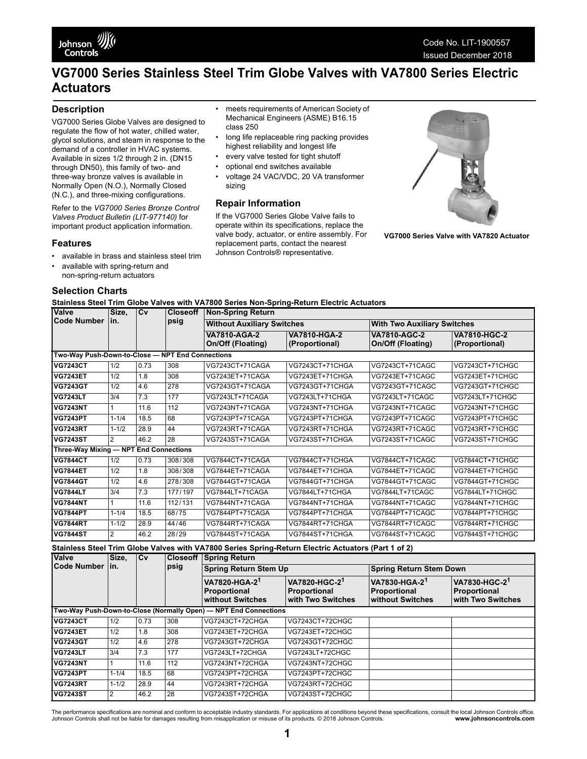## **VG7000 Series Stainless Steel Trim Globe Valves with VA7800 Series Electric Actuators**

#### **Description**

VG7000 Series Globe Valves are designed to regulate the flow of hot water, chilled water, glycol solutions, and steam in response to the demand of a controller in HVAC systems. Available in sizes 1/2 through 2 in. (DN15 through DN50), this family of two- and three-way bronze valves is available in Normally Open (N.O.), Normally Closed (N.C.), and three-mixing configurations.

Refer to the *VG7000 Series Bronze Control Valves Product Bulletin (LIT-977140)* for important product application information.

#### **Features**

- available in brass and stainless steel trim
- available with spring-return and non-spring-return actuators

#### **Selection Charts**

**Stainless Steel Trim Globe Valves with VA7800 Series Non-Spring-Return Electric Actuators**

| <b>Valve</b><br><b>Code Number</b>               | Size,<br>in.     | Cv   | <b>Closeoff</b><br>psig | <b>Non-Spring Return</b>                                         |                                                                                                     |                                                               |                                                                |  |
|--------------------------------------------------|------------------|------|-------------------------|------------------------------------------------------------------|-----------------------------------------------------------------------------------------------------|---------------------------------------------------------------|----------------------------------------------------------------|--|
|                                                  |                  |      |                         | <b>Without Auxiliary Switches</b>                                |                                                                                                     | <b>With Two Auxiliary Switches</b>                            |                                                                |  |
|                                                  |                  |      |                         | VA7810-AGA-2<br>On/Off (Floating)                                | <b>VA7810-HGA-2</b><br>(Proportional)                                                               | <b>VA7810-AGC-2</b><br>On/Off (Floating)                      | <b>VA7810-HGC-2</b><br>(Proportional)                          |  |
| Two-Way Push-Down-to-Close - NPT End Connections |                  |      |                         |                                                                  |                                                                                                     |                                                               |                                                                |  |
| <b>VG7243CT</b>                                  | 1/2              | 0.73 | 308                     | VG7243CT+71CAGA                                                  | VG7243CT+71CHGA                                                                                     | VG7243CT+71CAGC                                               | <b>VG7243CT+71CHGC</b>                                         |  |
| <b>VG7243ET</b>                                  | 1/2              | 1.8  | 308                     | VG7243ET+71CAGA                                                  | VG7243ET+71CHGA                                                                                     | VG7243ET+71CAGC                                               | VG7243ET+71CHGC                                                |  |
| <b>VG7243GT</b>                                  | 1/2              | 4.6  | 278                     | VG7243GT+71CAGA                                                  | VG7243GT+71CHGA                                                                                     | VG7243GT+71CAGC                                               | VG7243GT+71CHGC                                                |  |
| <b>VG7243LT</b>                                  | 3/4              | 7.3  | 177                     | VG7243LT+71CAGA                                                  | VG7243LT+71CHGA                                                                                     | VG7243LT+71CAGC                                               | VG7243LT+71CHGC                                                |  |
| <b>VG7243NT</b>                                  | $\mathbf{1}$     | 11.6 | 112                     | VG7243NT+71CAGA                                                  | VG7243NT+71CHGA                                                                                     | VG7243NT+71CAGC                                               | VG7243NT+71CHGC                                                |  |
| <b>VG7243PT</b>                                  | $1 - 1/4$        | 18.5 | 68                      | VG7243PT+71CAGA                                                  | VG7243PT+71CHGA                                                                                     | VG7243PT+71CAGC                                               | VG7243PT+71CHGC                                                |  |
| <b>VG7243RT</b>                                  | $1 - 1/2$        | 28.9 | 44                      | VG7243RT+71CAGA                                                  | VG7243RT+71CHGA                                                                                     | VG7243RT+71CAGC                                               | VG7243RT+71CHGC                                                |  |
| <b>VG7243ST</b>                                  | 2                | 46.2 | 28                      | VG7243ST+71CAGA                                                  | <b>VG7243ST+71CHGA</b>                                                                              | <b>VG7243ST+71CAGC</b>                                        | <b>VG7243ST+71CHGC</b>                                         |  |
| Three-Way Mixing - NPT End Connections           |                  |      |                         |                                                                  |                                                                                                     |                                                               |                                                                |  |
| <b>VG7844CT</b>                                  | 1/2              | 0.73 | 308/308                 | VG7844CT+71CAGA                                                  | VG7844CT+71CHGA                                                                                     | VG7844CT+71CAGC                                               | VG7844CT+71CHGC                                                |  |
| <b>VG7844ET</b>                                  | 1/2              | 1.8  | 308/308                 | VG7844ET+71CAGA                                                  | VG7844ET+71CHGA                                                                                     | VG7844ET+71CAGC                                               | VG7844ET+71CHGC                                                |  |
| <b>VG7844GT</b>                                  | 1/2              | 4.6  | 278/308                 | VG7844GT+71CAGA                                                  | VG7844GT+71CHGA                                                                                     | VG7844GT+71CAGC                                               | VG7844GT+71CHGC                                                |  |
| <b>VG7844LT</b>                                  | $\overline{3/4}$ | 7.3  | 177/197                 | VG7844LT+71CAGA                                                  | VG7844LT+71CHGA                                                                                     | VG7844LT+71CAGC                                               | VG7844LT+71CHGC                                                |  |
| <b>VG7844NT</b>                                  | 1                | 11.6 | 112/131                 | VG7844NT+71CAGA                                                  | VG7844NT+71CHGA                                                                                     | VG7844NT+71CAGC                                               | VG7844NT+71CHGC                                                |  |
| <b>VG7844PT</b>                                  | $1 - 1/4$        | 18.5 | 68/75                   | VG7844PT+71CAGA                                                  | VG7844PT+71CHGA                                                                                     | VG7844PT+71CAGC                                               | VG7844PT+71CHGC                                                |  |
| <b>VG7844RT</b>                                  | $1 - 1/2$        | 28.9 | 44/46                   | VG7844RT+71CAGA                                                  | VG7844RT+71CHGA                                                                                     | VG7844RT+71CAGC                                               | VG7844RT+71CHGC                                                |  |
| <b>VG7844ST</b>                                  | 2                | 46.2 | 28/29                   | VG7844ST+71CAGA                                                  | VG7844ST+71CHGA                                                                                     | VG7844ST+71CAGC                                               | VG7844ST+71CHGC                                                |  |
|                                                  |                  |      |                         |                                                                  | Stainless Steel Trim Globe Valves with VA7800 Series Spring-Return Electric Actuators (Part 1 of 2) |                                                               |                                                                |  |
| Valve<br><b>Code Number</b>                      | Size,<br>lin.    | Cv   | psig                    | <b>Closeoff Spring Return</b>                                    |                                                                                                     |                                                               |                                                                |  |
|                                                  |                  |      |                         | <b>Spring Return Stem Up</b>                                     |                                                                                                     | <b>Spring Return Stem Down</b>                                |                                                                |  |
|                                                  |                  |      |                         | VA7820-HGA-21<br>Proportional<br>without Switches                | VA7820-HGC-21<br><b>Proportional</b><br>with Two Switches                                           | VA7830-HGA-2 <sup>1</sup><br>Proportional<br>without Switches | VA7830-HGC-2 <sup>1</sup><br>Proportional<br>with Two Switches |  |
|                                                  |                  |      |                         | Two-Way Push-Down-to-Close (Normally Open) - NPT End Connections |                                                                                                     |                                                               |                                                                |  |
| <b>VG7243CT</b>                                  | 1/2              | 0.73 | 308                     | VG7243CT+72CHGA                                                  | VG7243CT+72CHGC                                                                                     |                                                               |                                                                |  |
| <b>VG7243ET</b>                                  | 1/2              | 1.8  | 308                     | VG7243ET+72CHGA                                                  | VG7243ET+72CHGC                                                                                     |                                                               |                                                                |  |
| <b>VG7243GT</b>                                  | 1/2              | 4.6  | 278                     | VG7243GT+72CHGA                                                  | VG7243GT+72CHGC                                                                                     |                                                               |                                                                |  |
| <b>VG7243LT</b>                                  | 3/4              | 7.3  | 177                     | VG7243LT+72CHGA                                                  | VG7243LT+72CHGC                                                                                     |                                                               |                                                                |  |
| <b>VG7243NT</b>                                  | $\mathbf{1}$     | 11.6 | 112                     | VG7243NT+72CHGA                                                  | VG7243NT+72CHGC                                                                                     |                                                               |                                                                |  |
| <b>VG7243PT</b>                                  | $1 - 1/4$        | 18.5 | 68                      | VG7243PT+72CHGA                                                  | VG7243PT+72CHGC                                                                                     |                                                               |                                                                |  |
| <b>VG7243RT</b>                                  | $1 - 1/2$        | 28.9 | 44                      | VG7243RT+72CHGA                                                  | VG7243RT+72CHGC                                                                                     |                                                               |                                                                |  |
| <b>VG7243ST</b>                                  | 2                | 46.2 | 28                      | VG7243ST+72CHGA                                                  | <b>VG7243ST+72CHGC</b>                                                                              |                                                               |                                                                |  |

• meets requirements of American Society of Mechanical Engineers (ASME) B16.15 class 250

- long life replaceable ring packing provides highest reliability and longest life
- every valve tested for tight shutoff
- optional end switches available
- voltage 24 VAC/VDC, 20 VA transformer sizing

#### **Repair Information**

If the VG7000 Series Globe Valve fails to operate within its specifications, replace the valve body, actuator, or entire assembly. For replacement parts, contact the nearest Johnson Controls® representative.



**VG7000 Series Valve with VA7820 Actuator**